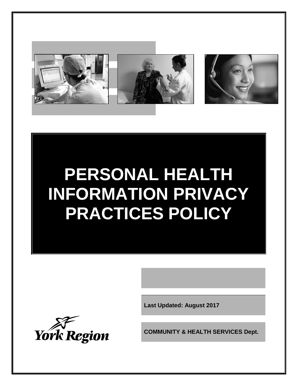

# **PERSONAL HEALTH INFORMATION PRIVACY PRACTICES POLICY**

**Last Updated: August 2017**



**COMMUNITY & HEALTH SERVICES Dept.**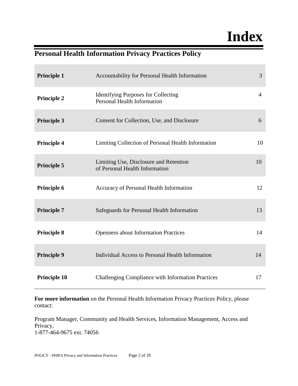## **Index**

### **Personal Health Information Privacy Practices Policy**

| <b>Principle 1</b>  | Accountability for Personal Health Information                                   | $\overline{3}$ |
|---------------------|----------------------------------------------------------------------------------|----------------|
| <b>Principle 2</b>  | <b>Identifying Purposes for Collecting</b><br><b>Personal Health Information</b> | $\overline{4}$ |
| <b>Principle 3</b>  | Consent for Collection, Use, and Disclosure                                      | 6              |
| <b>Principle 4</b>  | Limiting Collection of Personal Health Information                               | 10             |
| <b>Principle 5</b>  | Limiting Use, Disclosure and Retention<br>of Personal Health Information         | 10             |
| Principle 6         | Accuracy of Personal Health Information                                          | 12             |
| <b>Principle 7</b>  | Safeguards for Personal Health Information                                       | 13             |
| <b>Principle 8</b>  | <b>Openness about Information Practices</b>                                      | 14             |
| <b>Principle 9</b>  | Individual Access to Personal Health Information                                 | 14             |
| <b>Principle 10</b> | Challenging Compliance with Information Practices                                | 17             |

**For more information** on the Personal Health Information Privacy Practices Policy, please contact:

Program Manager, Community and Health Services, Information Management, Access and Privacy, 1-877-464-9675 ext. 74056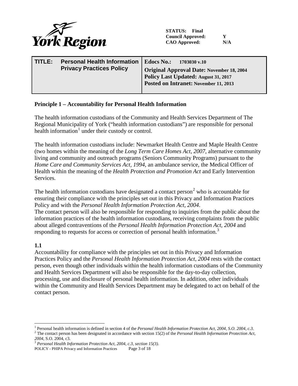

**STATUS: Final Council Approved: Y CAO Approved: N/A**

| TITLE: | <b>Personal Health Information</b><br><b>Privacy Practices Policy</b> | Edocs No.:<br>$1703030$ v.10<br><b>Original Approval Date: November 18, 2004</b><br>Policy Last Updated: August 31, 2017<br>Posted on Intranet: November 11, 2013 |
|--------|-----------------------------------------------------------------------|-------------------------------------------------------------------------------------------------------------------------------------------------------------------|
|        |                                                                       |                                                                                                                                                                   |

#### **Principle 1 – Accountability for Personal Health Information**

The health information custodians of the Community and Health Services Department of The Regional Municipality of York ("health information custodians") are responsible for personal health information<sup>[1](#page-2-0)</sup> under their custody or control.

The health information custodians include: Newmarket Health Centre and Maple Health Centre (two homes within the meaning of the *Long Term Care Homes Act, 2007*, alternative community living and community and outreach programs (Seniors Community Programs) pursuant to the *Home Care and Community Services Act, 1994*, an ambulance service, the Medical Officer of Health within the meaning of the *Health Protection and Promotion Act* and Early Intervention Services.

The health information custodians have designated a contact person<sup>[2](#page-2-1)</sup> who is accountable for ensuring their compliance with the principles set out in this Privacy and Information Practices Policy and with the *Personal Health Information Protection Act, 2004*.

The contact person will also be responsible for responding to inquiries from the public about the information practices of the health information custodians, receiving complaints from the public about alleged contraventions of the *Personal Health Information Protection Act, 2004* and responding to requests for access or correction of personal health information.<sup>[3](#page-2-2)</sup>

#### **1.1**

Accountability for compliance with the principles set out in this Privacy and Information Practices Policy and the *Personal Health Information Protection Act, 2004* rests with the contact person, even though other individuals within the health information custodians of the Community and Health Services Department will also be responsible for the day-to-day collection, processing, use and disclosure of personal health information. In addition, other individuals within the Community and Health Services Department may be delegated to act on behalf of the contact person.

<span id="page-2-1"></span><span id="page-2-0"></span><sup>&</sup>lt;sup>1</sup> Personal health information is defined in section 4 of the *Personal Health Information Protection Act*, 2004, *S.O.* 2004, *c.3.* <sup>2</sup> The contact person has been designated in accordance with section 15(2) of the *Pe* 

<span id="page-2-2"></span><sup>&</sup>lt;sup>3</sup> Personal Health Information Protection Act, 2004, c.3, section 15(3).

POLICY - PHIPA Privacy and Information Practices Page 3 of 18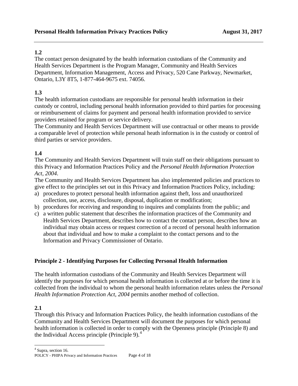The contact person designated by the health information custodians of the Community and Health Services Department is the Program Manager, Community and Health Services Department, Information Management, Access and Privacy, 520 Cane Parkway, Newmarket, Ontario, L3Y 8T5, 1-877-464-9675 ext. 74056.

#### **1.3**

The health information custodians are responsible for personal health information in their custody or control, including personal health information provided to third parties for processing or reimbursement of claims for payment and personal health information provided to service providers retained for program or service delivery.

The Community and Health Services Department will use contractual or other means to provide a comparable level of protection while personal heath information is in the custody or control of third parties or service providers.

#### **1.4**

The Community and Health Services Department will train staff on their obligations pursuant to this Privacy and Information Practices Policy and the *Personal Health Information Protection Act, 2004*.

The Community and Health Services Department has also implemented policies and practices to give effect to the principles set out in this Privacy and Information Practices Policy, including:

- a) procedures to protect personal health information against theft, loss and unauthorized collection, use, access, disclosure, disposal, duplication or modification;
- b) procedures for receiving and responding to inquires and complaints from the public; and
- c) a written public statement that describes the information practices of the Community and Health Services Department, describes how to contact the contact person, describes how an individual may obtain access or request correction of a record of personal health information about that individual and how to make a complaint to the contact persons and to the Information and Privacy Commissioner of Ontario.

#### **Principle 2 - Identifying Purposes for Collecting Personal Health Information**

The health information custodians of the Community and Health Services Department will identify the purposes for which personal health information is collected at or before the time it is collected from the individual to whom the personal health information relates unless the *Personal Health Information Protection Act, 2004* permits another method of collection.

#### **2.1**

Through this Privacy and Information Practices Policy, the health information custodians of the Community and Health Services Department will document the purposes for which personal health information is collected in order to comply with the Openness principle (Principle 8) and the Individual Access principle (Principle 9).<sup>[4](#page-3-0)</sup>

<span id="page-3-0"></span><sup>4</sup> Supra, section 16.

POLICY - PHIPA Privacy and Information Practices Page 4 of 18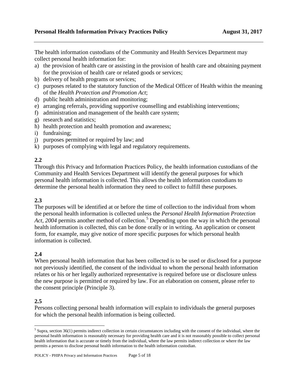The health information custodians of the Community and Health Services Department may collect personal health information for:

- a) the provision of health care or assisting in the provision of health care and obtaining payment for the provision of health care or related goods or services;
- b) delivery of health programs or services;
- c) purposes related to the statutory function of the Medical Officer of Health within the meaning of the *Health Protection and Promotion Act*;
- d) public health administration and monitoring;
- e) arranging referrals, providing supportive counselling and establishing interventions;
- f) administration and management of the health care system;
- g) research and statistics;
- h) health protection and health promotion and awareness;
- i) fundraising;
- j) purposes permitted or required by law; and
- k) purposes of complying with legal and regulatory requirements.

#### **2.2**

Through this Privacy and Information Practices Policy, the health information custodians of the Community and Health Services Department will identify the general purposes for which personal health information is collected. This allows the health information custodians to determine the personal health information they need to collect to fulfill these purposes.

#### **2.3**

The purposes will be identified at or before the time of collection to the individual from whom the personal health information is collected unless the *Personal Health Information Protection Act, 2004* permits another method of collection.<sup>[5](#page-4-0)</sup> Depending upon the way in which the personal health information is collected, this can be done orally or in writing. An application or consent form, for example, may give notice of more specific purposes for which personal health information is collected.

#### **2.4**

When personal health information that has been collected is to be used or disclosed for a purpose not previously identified, the consent of the individual to whom the personal health information relates or his or her legally authorized representative is required before use or disclosure unless the new purpose is permitted or required by law. For an elaboration on consent, please refer to the consent principle (Principle 3).

#### **2.5**

Persons collecting personal health information will explain to individuals the general purposes for which the personal health information is being collected.

<span id="page-4-0"></span> $<sup>5</sup>$  Supra, section 36(1) permits indirect collection in certain circumstances including with the consent of the individual, where the</sup> personal health information is reasonably necessary for providing health care and it is not reasonably possible to collect personal health information that is accurate or timely from the individual, where the law permits indirect collection or where the law permits a person to disclose personal health information to the health information custodian.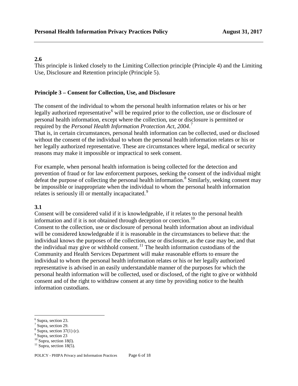This principle is linked closely to the Limiting Collection principle (Principle 4) and the Limiting Use, Disclosure and Retention principle (Principle 5).

#### **Principle 3 – Consent for Collection, Use, and Disclosure**

The consent of the individual to whom the personal health information relates or his or her legally authorized representative<sup> $6$ </sup> will be required prior to the collection, use or disclosure of personal health information, except where the collection, use or disclosure is permitted or required by the *Personal Health Information Protection Act, 2004*. [7](#page-5-1)

That is, in certain circumstances, personal health information can be collected, used or disclosed without the consent of the individual to whom the personal health information relates or his or her legally authorized representative. These are circumstances where legal, medical or security reasons may make it impossible or impractical to seek consent.

For example, when personal health information is being collected for the detection and prevention of fraud or for law enforcement purposes, seeking the consent of the individual might defeat the purpose of collecting the personal health information.<sup>[8](#page-5-2)</sup> Similarly, seeking consent may be impossible or inappropriate when the individual to whom the personal health information relates is seriously ill or mentally incapacitated.<sup>[9](#page-5-3)</sup>

#### **3.1**

Consent will be considered valid if it is knowledgeable, if it relates to the personal health information and if it is not obtained through deception or coercion.<sup>[10](#page-5-4)</sup>

Consent to the collection, use or disclosure of personal health information about an individual will be considered knowledgeable if it is reasonable in the circumstances to believe that: the individual knows the purposes of the collection, use or disclosure, as the case may be, and that the individual may give or withhold consent.<sup>[11](#page-5-5)</sup> The health information custodians of the Community and Health Services Department will make reasonable efforts to ensure the individual to whom the personal health information relates or his or her legally authorized representative is advised in an easily understandable manner of the purposes for which the personal health information will be collected, used or disclosed, of the right to give or withhold consent and of the right to withdraw consent at any time by providing notice to the health information custodians.

<span id="page-5-0"></span><sup>6</sup> Supra, section 23.

<span id="page-5-1"></span><sup>7</sup> Supra, section 29.

<span id="page-5-2"></span> $\frac{8}{9}$  Supra, section 37(1) (c).<br> $\frac{9}{9}$  Supra, section 23

<span id="page-5-3"></span>

<span id="page-5-4"></span><sup>&</sup>lt;sup>10</sup> Supra, section 18(1).<br><sup>11</sup> Supra, section 18(5).

<span id="page-5-5"></span>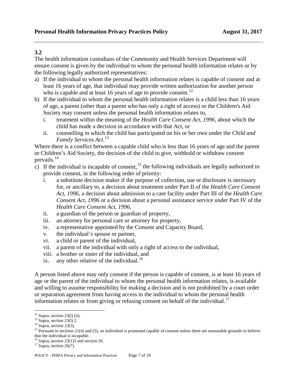The health information custodians of the Community and Health Services Department will ensure consent is given by the individual to whom the personal health information relates or by the following legally authorized representatives:

- a) If the individual to whom the personal health information relates is capable of consent and at least 16 years of age, that individual may provide written authorization for another person who is capable and at least 16 years of age to provide consent.<sup>[12](#page-6-0)</sup>
- b) If the individual to whom the personal health information relates is a child less than 16 years of age, a parent (other than a parent who has only a right of access) or the Children's Aid Society may consent unless the personal health information relates to,
	- i. treatment within the meaning of the *Health Care Consent Act, 1996*, about which the child has made a decision in accordance with that Act, or
	- ii. counselling in which the child has participated on his or her own under the *Child and Family Services Act*. [13](#page-6-1)

Where there is a conflict between a capable child who is less than 16 years of age and the parent or Children's Aid Society, the decision of the child to give, withhold or withdraw consent prevails. $^{14}$  $^{14}$  $^{14}$ 

- c) If the individual is incapable of consent,  $^{15}$  $^{15}$  $^{15}$  the following individuals are legally authorized to provide consent, in the following order of priority:
	- i. a substitute decision maker if the purpose of collection, use or disclosure is necessary for, or ancillary to, a decision about treatment under Part II of the *Health Care Consent Act, 1996*, a decision about admission to a care facility under Part III of the *Health Care Consent Act, 1996* or a decision about a personal assistance service under Part IV of the *Health Care Consent Act, 1996*,
	- ii. a guardian of the person or guardian of property,
	- iii. an attorney for personal care or attorney for property,
	- iv. a representative appointed by the Consent and Capacity Board,
	- v. the individual's spouse or partner,
	- vi. a child or parent of the individual,
	- vii. a parent of the individual with only a right of access to the individual,
	- viii. a brother or sister of the individual, and
	- ix. any other relative of the individual.<sup>[16](#page-6-4)</sup>

A person listed above may only consent if the person is capable of consent, is at least 16 years of age or the parent of the individual to whom the personal health information relates, is available and willing to assume responsibility for making a decision and is not prohibited by a court order or separation agreement from having access to the individual to whom the personal health information relates or from giving or refusing consent on behalf of the individual.<sup>[17](#page-6-5)</sup>

<span id="page-6-3"></span><span id="page-6-2"></span>

<span id="page-6-1"></span><span id="page-6-0"></span><sup>&</sup>lt;sup>12</sup> Supra, section 23(l) (ii).<br><sup>13</sup> Supra, section 23(l) 2.<br><sup>14</sup> Supra, section 23(3).<br><sup>15</sup> Pursuant to sections 21(4) and (5), an individual is presumed capable of consent unless there are reasonable grounds to believe that the individual is incapable.

<span id="page-6-5"></span><span id="page-6-4"></span><sup>&</sup>lt;sup>16</sup> Supra, section 23(1)3 and section 26.<br><sup>17</sup> Supra, section 26(7).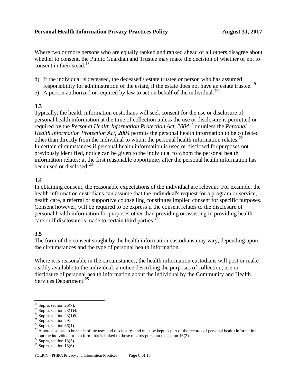Where two or more persons who are equally ranked and ranked ahead of all others disagree about whether to consent, the Public Guardian and Trustee may make the decision of whether or not to consent in their stead.<sup>[18](#page-7-0)</sup>

- d) If the individual is deceased, the deceased's estate trustee or person who has assumed responsibility for administration of the estate, if the estate does not have an estate trustee.<sup>[19](#page-7-1)</sup>
- e) A person authorized or required by law to act on behalf of the individual.<sup>[20](#page-7-2)</sup>

#### **3.3**

Typically, the health information custodians will seek consent for the use or disclosure of personal health information at the time of collection unless the use or disclosure is permitted or required by the *Personal Health Information Protection Act, 2004[21](#page-7-3)* or unless the *Personal Health Information Protection Act, 2004* permits the personal health information to be collected other than directly from the individual to whom the personal health information relates.<sup>[22](#page-7-4)</sup> In certain circumstances if personal health information is used or disclosed for purposes not previously identified, notice can be given to the individual to whom the personal health information relates; at the first reasonable opportunity after the personal health information has been used or disclosed. $^{23}$  $^{23}$  $^{23}$ 

#### **3.4**

In obtaining consent, the reasonable expectations of the individual are relevant. For example, the health information custodians can assume that the individual's request for a program or service, health care, a referral or supportive counselling constitutes implied consent for specific purposes. Consent however, will be required to be express if the consent relates to the disclosure of personal health information for purposes other than providing or assisting in providing health care or if disclosure is made to certain third parties.<sup>[24](#page-7-6)</sup>

#### **3.5**

The form of the consent sought by the health information custodians may vary, depending upon the circumstances and the type of personal health information.

Where it is reasonable in the circumstances, the health information custodians will post or make readily available to the individual, a notice describing the purposes of collection, use or disclosure of personal health information about the individual by the Community and Health Services Department.<sup>[25](#page-7-7)</sup>

<span id="page-7-6"></span>

<span id="page-7-2"></span>

<span id="page-7-4"></span><span id="page-7-3"></span>

<span id="page-7-5"></span>

<span id="page-7-1"></span><span id="page-7-0"></span><sup>&</sup>lt;sup>18</sup> Supra, section 26(7).<br><sup>19</sup> Supra, section 23(1)4.<br><sup>20</sup> Supra, section 23(1)5.<br><sup>21</sup> Supra, section 29.<br><sup>22</sup> Supra, section 36(1).<br><sup>23</sup> A note also has to be made of the uses and disclosures and must be kept as part of about the individual or in a form that is linked to those records pursuant to section 16(2). <sup>24</sup> Supra, section 18(3). <sup>25</sup> Supra, section 18(6).

<span id="page-7-7"></span>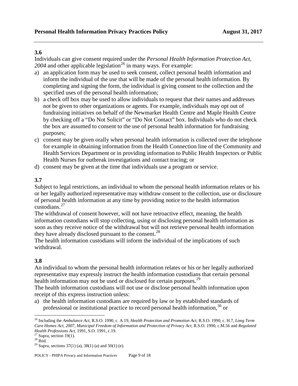Individuals can give consent required under the *Personal Health Information Protection Act,*  $2004$  and other applicable legislation<sup>[26](#page-8-0)</sup> in many ways. For example:

- a) an application form may be used to seek consent, collect personal health information and inform the individual of the use that will be made of the personal health information. By completing and signing the form, the individual is giving consent to the collection and the specified uses of the personal health information;
- b) a check off box may be used to allow individuals to request that their names and addresses not be given to other organizations or agents. For example, individuals may opt out of fundraising initiatives on behalf of the Newmarket Health Centre and Maple Health Centre by checking off a "Do Not Solicit" or "Do Not Contact" box. Individuals who do not check the box are assumed to consent to the use of personal health information for fundraising purposes;
- c) consent may be given orally when personal health information is collected over the telephone for example in obtaining information from the Health Connection line of the Community and Health Services Department or in providing information to Public Health Inspectors or Public Health Nurses for outbreak investigations and contact tracing; or
- d) consent may be given at the time that individuals use a program or service.

#### **3.7**

Subject to legal restrictions, an individual to whom the personal health information relates or his or her legally authorized representative may withdraw consent to the collection, use or disclosure of personal health information at any time by providing notice to the health information custodians.[27](#page-8-1)

The withdrawal of consent however, will not have retroactive effect, meaning, the health information custodians will stop collecting, using or disclosing personal health information as soon as they receive notice of the withdrawal but will not retrieve personal health information they have already disclosed pursuant to the consent.<sup>[28](#page-8-2)</sup>

The health information custodians will inform the individual of the implications of such withdrawal.

#### **3.8**

An individual to whom the personal health information relates or his or her legally authorized representative may expressly instruct the health information custodians that certain personal health information may not be used or disclosed for certain purposes.<sup>[29](#page-8-3)</sup>

The health information custodians will not use or disclose personal health information upon receipt of this express instruction unless:

a) the health information custodians are required by law or by established standards of professional or institutional practice to record personal health information,  $30$  or

<span id="page-8-4"></span><span id="page-8-0"></span><sup>26</sup> Including the *Ambulance Act*, R.S.O. 1990, c. A.19, *Health Protection and Promotion Act*, R.S.O. 1990, c. H.7, *Long Term Care Homes Act, 2007*, *Municipal Freedom of Information and Protection of Privacy Act*, R.S.O. 1990, c.M.56 and *Regulated Health Professions Act*, 1991, S.O. 1991, c.19.<br><sup>27</sup> Supra, section 19(1).<br><sup>28</sup> Ibid. <sup>29</sup> Supra, sections 37(1) (a), 38(1) (a) and 50(1) (e).

<span id="page-8-1"></span>

<span id="page-8-2"></span>

<span id="page-8-3"></span>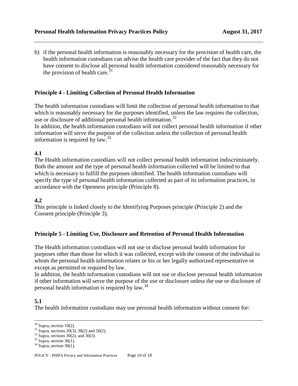b) if the personal health information is reasonably necessary for the provision of health care, the health information custodians can advise the health care provider of the fact that they do not have consent to disclose all personal health information considered reasonably necessary for the provision of health care. $31$ 

#### **Principle 4 - Limiting Collection of Personal Health Information**

The health information custodians will limit the collection of personal health information to that which is reasonably necessary for the purposes identified, unless the law requires the collection, use or disclosure of additional personal health information.<sup>[32](#page-9-1)</sup>

In addition, the health information custodians will not collect personal health information if other information will serve the purpose of the collection unless the collection of personal health information is required by law.<sup>[33](#page-9-2)</sup>

#### **4.1**

The Health information custodians will not collect personal health information indiscriminately. Both the amount and the type of personal health information collected will be limited to that which is necessary to fulfill the purposes identified. The health information custodians will specify the type of personal health information collected as part of its information practices, in accordance with the Openness principle (Principle 8).

#### **4.2**

This principle is linked closely to the Identifying Purposes principle (Principle 2) and the Consent principle (Principle 3).

#### **Principle 5 - Limiting Use, Disclosure and Retention of Personal Health Information**

The Health information custodians will not use or disclose personal health information for purposes other than those for which it was collected, except with the consent of the individual to whom the personal health information relates or his or her legally authorized representative or except as permitted or required by law.

In addition, the health information custodians will not use or disclose personal health information if other information will serve the purpose of the use or disclosure unless the use or disclosure of personal health information is required by law.[34](#page-9-3)

#### **5.1**

The health information custodians may use personal health information without consent for:

<span id="page-9-0"></span><sup>&</sup>lt;sup>30</sup> Supra, section 19(2).<br><sup>31</sup> Supra, sections 20(3), 38(2) and 50(2).<br><sup>32</sup> Supra, sections 30(2), and 30(3).<br><sup>33</sup> Supra, section 30(1).<br><sup>34</sup> Supra, section 30(1).

<span id="page-9-1"></span>

<span id="page-9-2"></span>

<span id="page-9-3"></span>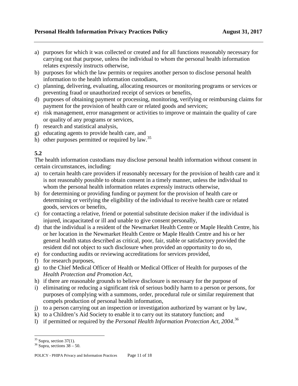- a) purposes for which it was collected or created and for all functions reasonably necessary for carrying out that purpose, unless the individual to whom the personal health information relates expressly instructs otherwise,
- b) purposes for which the law permits or requires another person to disclose personal health information to the health information custodians,
- c) planning, delivering, evaluating, allocating resources or monitoring programs or services or preventing fraud or unauthorized receipt of services or benefits,
- d) purposes of obtaining payment or processing, monitoring, verifying or reimbursing claims for payment for the provision of health care or related goods and services;
- e) risk management, error management or activities to improve or maintain the quality of care or quality of any programs or services,
- f) research and statistical analysis,
- g) educating agents to provide health care, and
- h) other purposes permitted or required by law.<sup>[35](#page-10-0)</sup>

The health information custodians may disclose personal health information without consent in certain circumstances, including:

- a) to certain health care providers if reasonably necessary for the provision of health care and it is not reasonably possible to obtain consent in a timely manner, unless the individual to whom the personal health information relates expressly instructs otherwise,
- b) for determining or providing funding or payment for the provision of health care or determining or verifying the eligibility of the individual to receive health care or related goods, services or benefits,
- c) for contacting a relative, friend or potential substitute decision maker if the individual is injured, incapacitated or ill and unable to give consent personally,
- d) that the individual is a resident of the Newmarket Health Centre or Maple Health Centre, his or her location in the Newmarket Health Centre or Maple Health Centre and his or her general health status described as critical, poor, fair, stable or satisfactory provided the resident did not object to such disclosure when provided an opportunity to do so,
- e) for conducting audits or reviewing accreditations for services provided,
- f) for research purposes,
- g) to the Chief Medical Officer of Health or Medical Officer of Health for purposes of the *Health Protection and Promotion Act*,
- h) if there are reasonable grounds to believe disclosure is necessary for the purpose of
- i) eliminating or reducing a significant risk of serious bodily harm to a person or persons, for purposes of complying with a summons, order, procedural rule or similar requirement that compels production of personal health information,
- j) to a person carrying out an inspection or investigation authorized by warrant or by law,
- k) to a Children's Aid Society to enable it to carry out its statutory function; and
- l) if permitted or required by the *Personal Health Information Protection Act, 2004*. [36](#page-10-1)

<span id="page-10-1"></span>

<span id="page-10-0"></span><sup>&</sup>lt;sup>35</sup> Supra, section 37(1).<br><sup>36</sup> Supra, sections  $38 - 50$ .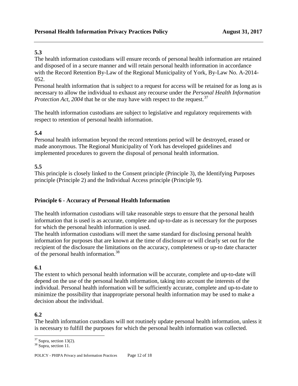The health information custodians will ensure records of personal health information are retained and disposed of in a secure manner and will retain personal health information in accordance with the Record Retention By-Law of the Regional Municipality of York, By-Law No. A-2014- 052.

Personal health information that is subject to a request for access will be retained for as long as is necessary to allow the individual to exhaust any recourse under the *Personal Health Information Protection Act, 2004* that he or she may have with respect to the request.<sup>[37](#page-11-0)</sup>

The health information custodians are subject to legislative and regulatory requirements with respect to retention of personal health information.

#### **5.4**

Personal health information beyond the record retentions period will be destroyed, erased or made anonymous. The Regional Municipality of York has developed guidelines and implemented procedures to govern the disposal of personal health information.

#### **5.5**

This principle is closely linked to the Consent principle (Principle 3), the Identifying Purposes principle (Principle 2) and the Individual Access principle (Principle 9).

#### **Principle 6 - Accuracy of Personal Health Information**

The health information custodians will take reasonable steps to ensure that the personal health information that is used is as accurate, complete and up-to-date as is necessary for the purposes for which the personal health information is used.

The health information custodians will meet the same standard for disclosing personal health information for purposes that are known at the time of disclosure or will clearly set out for the recipient of the disclosure the limitations on the accuracy, completeness or up-to date character of the personal health information.<sup>[38](#page-11-1)</sup>

#### **6.1**

The extent to which personal health information will be accurate, complete and up-to-date will depend on the use of the personal health information, taking into account the interests of the individual. Personal health information will be sufficiently accurate, complete and up-to-date to minimize the possibility that inappropriate personal health information may be used to make a decision about the individual.

#### **6.2**

The health information custodians will not routinely update personal health information, unless it is necessary to fulfill the purposes for which the personal health information was collected.

<span id="page-11-1"></span>

<span id="page-11-0"></span> $37$  Supra, section 13(2).<br> $38$  Supra, section 11.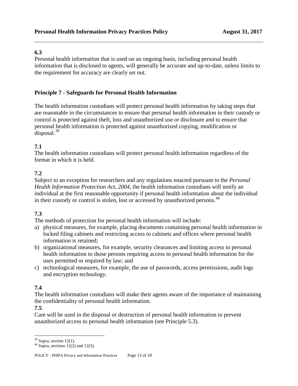Personal health information that is used on an ongoing basis, including personal health information that is disclosed to agents, will generally be accurate and up-to-date, unless limits to the requirement for accuracy are clearly set out.

#### **Principle 7 - Safeguards for Personal Health Information**

The health information custodians will protect personal health information by taking steps that are reasonable in the circumstances to ensure that personal health information in their custody or control is protected against theft, loss and unauthorized use or disclosure and to ensure that personal health information is protected against unauthorized copying, modification or disposal. $39$ 

#### **7.1**

The health information custodians will protect personal health information regardless of the format in which it is held.

#### **7.2**

Subject to an exception for researchers and any regulations enacted pursuant to the *Personal Health Information Protection Act, 2004*, the health information custodians will notify an individual at the first reasonable opportunity if personal health information about the individual in their custody or control is stolen, lost or accessed by unauthorized persons.<sup>[40](#page-12-1)</sup>

#### **7.3**

The methods of protection for personal health information will include:

- a) physical measures, for example, placing documents containing personal health information in locked filing cabinets and restricting access to cabinets and offices where personal health information is retained;
- b) organizational measures, for example, security clearances and limiting access to personal health information to those persons requiring access to personal health information for the uses permitted or required by law; and
- c) technological measures, for example, the use of passwords, access permissions, audit logs and encryption technology.

#### **7.4**

The health information custodians will make their agents aware of the importance of maintaining the confidentiality of personal health information.

#### **7.5**

Care will be used in the disposal or destruction of personal health information to prevent unauthorized access to personal health information (see Principle 5.3).

<span id="page-12-1"></span><span id="page-12-0"></span><sup>&</sup>lt;sup>39</sup> Supra, section 12(1).<br><sup>40</sup> Supra, sections 12(2) and 12(3).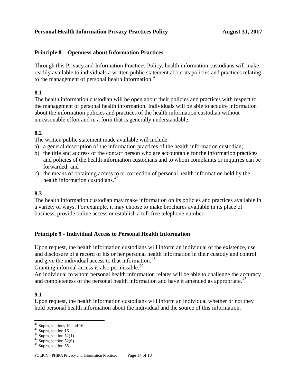#### **Principle 8 – Openness about Information Practices**

Through this Privacy and Information Practices Policy, health information custodians will make readily available to individuals a written public statement about its policies and practices relating to the management of personal health information.<sup>[41](#page-13-0)</sup>

#### **8.1**

The health information custodian will be open about their policies and practices with respect to the management of personal health information. Individuals will be able to acquire information about the information policies and practices of the health information custodian without unreasonable effort and in a form that is generally understandable.

#### **8.2**

The written public statement made available will include:

- a) a general description of the information practices of the health information custodian;
- b) the title and address of the contact person who are accountable for the information practices and policies of the health information custodians and to whom complaints or inquiries can be forwarded; and
- c) the means of obtaining access to or correction of personal health information held by the health information custodians.<sup>[42](#page-13-1)</sup>

#### **8.3**

The health information custodian may make information on its policies and practices available in a variety of ways. For example, it may choose to make brochures available in its place of business, provide online access or establish a toll-free telephone number.

#### **Principle 9 - Individual Access to Personal Health Information**

Upon request, the health information custodians will inform an individual of the existence, use and disclosure of a record of his or her personal health information in their custody and control and give the individual access to that information.<sup>[43](#page-13-2)</sup>

Granting informal access is also permissible.<sup>[44](#page-13-3)</sup>

An individual to whom personal health information relates will be able to challenge the accuracy and completeness of the personal health information and have it amended as appropriate.<sup>[45](#page-13-4)</sup>

#### **9.1**

Upon request, the health information custodians will inform an individual whether or not they hold personal health information about the individual and the source of this information.

<span id="page-13-1"></span><span id="page-13-0"></span><sup>&</sup>lt;sup>41</sup> Supra, section 16.<br><sup>42</sup> Supra, section 16.<br><sup>43</sup> Supra, section 52(1).<br><sup>44</sup> Supra, section 52(6).<br><sup>45</sup> Supra, section 55.

<span id="page-13-2"></span>

<span id="page-13-3"></span>

<span id="page-13-4"></span>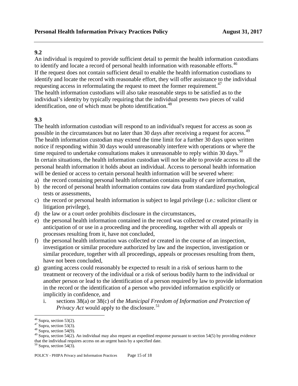An individual is required to provide sufficient detail to permit the health information custodians to identify and locate a record of personal health information with reasonable efforts.<sup>[46](#page-14-0)</sup> If the request does not contain sufficient detail to enable the health information custodians to identify and locate the record with reasonable effort, they will offer assistance to the individual requesting access in reformulating the request to meet the former requirement.<sup>[47](#page-14-1)</sup> The health information custodians will also take reasonable steps to be satisfied as to the individual's identity by typically requiring that the individual presents two pieces of valid identification, one of which must be photo identification.<sup>[48](#page-14-2)</sup>

#### **9.3**

The health information custodian will respond to an individual's request for access as soon as possible in the circumstances but no later than 30 days after receiving a request for access.<sup>[49](#page-14-3)</sup> The health information custodian may extend the time limit for a further 30 days upon written notice if responding within 30 days would unreasonably interfere with operations or where the time required to undertake consultations makes it unreasonable to reply within 30 days.<sup>[50](#page-14-4)</sup> In certain situations, the health information custodian will not be able to provide access to all the personal health information it holds about an individual. Access to personal health information will be denied or access to certain personal health information will be severed where:

- a) the record containing personal health information contains quality of care information,
- b) the record of personal health information contains raw data from standardized psychological tests or assessments,
- c) the record or personal health information is subject to legal privilege (i.e.: solicitor client or litigation privilege),
- d) the law or a court order prohibits disclosure in the circumstances,
- e) the personal health information contained in the record was collected or created primarily in anticipation of or use in a proceeding and the proceeding, together with all appeals or processes resulting from it, have not concluded,
- f) the personal health information was collected or created in the course of an inspection, investigation or similar procedure authorized by law and the inspection, investigation or similar procedure, together with all proceedings, appeals or processes resulting from them, have not been concluded,
- g) granting access could reasonably be expected to result in a risk of serious harm to the treatment or recovery of the individual or a risk of serious bodily harm to the individual or another person or lead to the identification of a person required by law to provide information in the record or the identification of a person who provided information explicitly or implicitly in confidence, and
	- i. sections 38(a) or 38(c) of the *Municipal Freedom of Information and Protection of Privacy Act* would apply to the disclosure.<sup>[51](#page-14-5)</sup>

<span id="page-14-3"></span><span id="page-14-2"></span>

<span id="page-14-5"></span><span id="page-14-1"></span><span id="page-14-0"></span><sup>&</sup>lt;sup>46</sup> Supra, section 53(2).<br><sup>47</sup> Supra, section 53(3).<br><sup>48</sup> Supra, section 54(9).<br><sup>49</sup> Supra, section 54(2). An individual may also request an expedited response pursuant to section 54(5) by providing evidence that the individual requires access on an urgent basis by a specified date.

<span id="page-14-4"></span> $50$  Supra, section 54(3).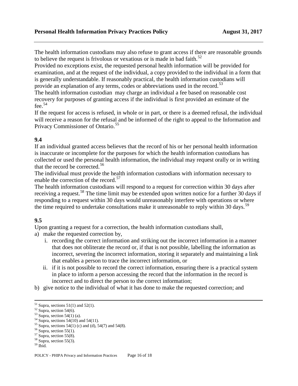The health information custodians may also refuse to grant access if there are reasonable grounds to believe the request is frivolous or vexatious or is made in bad faith.<sup>[52](#page-15-0)</sup>

Provided no exceptions exist, the requested personal health information will be provided for examination, and at the request of the individual, a copy provided to the individual in a form that is generally understandable. If reasonably practical, the health information custodians will provide an explanation of any terms, codes or abbreviations used in the record.<sup>[53](#page-15-1)</sup>

The health information custodian may charge an individual a fee based on reasonable cost recovery for purposes of granting access if the individual is first provided an estimate of the fee. $54$ 

If the request for access is refused, in whole or in part, or there is a deemed refusal, the individual will receive a reason for the refusal and be informed of the right to appeal to the Information and Privacy Commissioner of Ontario.<sup>[55](#page-15-3)</sup>

#### **9.4**

If an individual granted access believes that the record of his or her personal health information is inaccurate or incomplete for the purposes for which the health information custodians has collected or used the personal health information, the individual may request orally or in writing that the record be corrected.<sup>[56](#page-15-4)</sup>

The individual must provide the health information custodians with information necessary to enable the correction of the record.<sup>[57](#page-15-5)</sup>

The health information custodians will respond to a request for correction within 30 days after receiving a request.<sup>[58](#page-15-6)</sup> The time limit may be extended upon written notice for a further 30 days if responding to a request within 30 days would unreasonably interfere with operations or where the time required to undertake consultations make it unreasonable to reply within 30 days.<sup>[59](#page-15-7)</sup>

#### **9.5**

Upon granting a request for a correction, the health information custodians shall,

- a) make the requested correction by,
	- i. recording the correct information and striking out the incorrect information in a manner that does not obliterate the record or, if that is not possible, labelling the information as incorrect, severing the incorrect information, storing it separately and maintaining a link that enables a person to trace the incorrect information, or
	- ii. if it is not possible to record the correct information, ensuring there is a practical system in place to inform a person accessing the record that the information in the record is incorrect and to direct the person to the correct information;
- b) give notice to the individual of what it has done to make the requested correction; and

<span id="page-15-1"></span>

<span id="page-15-3"></span><span id="page-15-2"></span>

<span id="page-15-0"></span><sup>&</sup>lt;sup>51</sup> Supra, sections 51(1) and 52(1).<br>
<sup>52</sup> Supra, section 54(6).<br>
<sup>53</sup> Supra, section 54(1) (a).<br>
<sup>54</sup> Supra, sections 54(10) and 54(11).<br>
<sup>55</sup> Supra, sections 54(1) (c) and (d), 54(7) and 54(8).<br>
<sup>56</sup> Supra, section 55(

<span id="page-15-4"></span>

<span id="page-15-5"></span>

<span id="page-15-6"></span>

<span id="page-15-7"></span>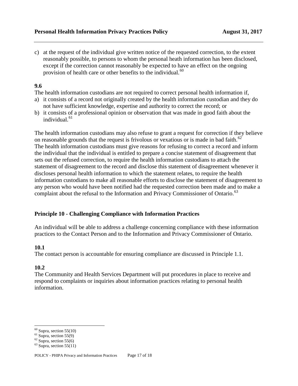c) at the request of the individual give written notice of the requested correction, to the extent reasonably possible, to persons to whom the personal heath information has been disclosed, except if the correction cannot reasonably be expected to have an effect on the ongoing provision of health care or other benefits to the individual.<sup>[60](#page-16-0)</sup>

#### **9.6**

The health information custodians are not required to correct personal health information if,

- a) it consists of a record not originally created by the health information custodian and they do not have sufficient knowledge, expertise and authority to correct the record; or
- b) it consists of a professional opinion or observation that was made in good faith about the individual.<sup>[61](#page-16-1)</sup>

The health information custodians may also refuse to grant a request for correction if they believe on reasonable grounds that the request is frivolous or vexatious or is made in bad faith.<sup>[62](#page-16-2)</sup> The health information custodians must give reasons for refusing to correct a record and inform the individual that the individual is entitled to prepare a concise statement of disagreement that sets out the refused correction, to require the health information custodians to attach the statement of disagreement to the record and disclose this statement of disagreement whenever it discloses personal health information to which the statement relates, to require the health information custodians to make all reasonable efforts to disclose the statement of disagreement to any person who would have been notified had the requested correction been made and to make a complaint about the refusal to the Information and Privacy Commissioner of Ontario.<sup>[63](#page-16-3)</sup>

#### **Principle 10 - Challenging Compliance with Information Practices**

An individual will be able to address a challenge concerning compliance with these information practices to the Contact Person and to the Information and Privacy Commissioner of Ontario.

#### **10.1**

The contact person is accountable for ensuring compliance are discussed in Principle 1.1.

#### **10.2**

The Community and Health Services Department will put procedures in place to receive and respond to complaints or inquiries about information practices relating to personal health information.

<span id="page-16-0"></span><sup>&</sup>lt;sup>60</sup> Supra, section 55(10)<br><sup>61</sup> Supra, section 55(9)<br><sup>62</sup> Supra, section 55(6)<br><sup>63</sup> Supra, section 55(11)

<span id="page-16-1"></span>

<span id="page-16-2"></span>

<span id="page-16-3"></span>